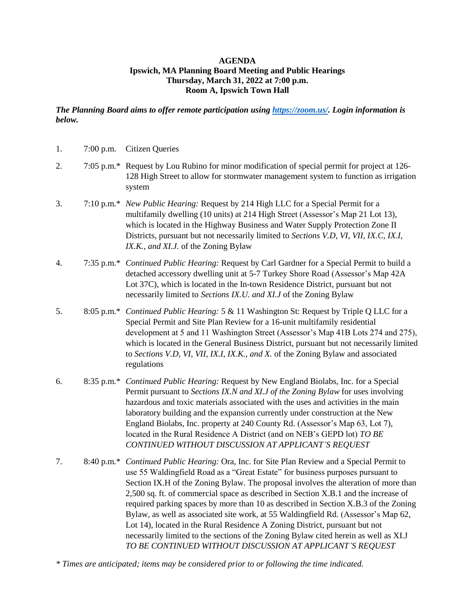## **AGENDA Ipswich, MA Planning Board Meeting and Public Hearings Thursday, March 31, 2022 at 7:00 p.m. Room A, Ipswich Town Hall**

## *The Planning Board aims to offer remote participation using [https://zoom.us/.](https://zoom.us/) Login information is below.*

| 1. | $7:00$ p.m. | <b>Citizen Queries</b>                                                                                                                                                                                                                                                                                                                                                                                                                                                                                                                                                                                                                                                                                                                                                       |
|----|-------------|------------------------------------------------------------------------------------------------------------------------------------------------------------------------------------------------------------------------------------------------------------------------------------------------------------------------------------------------------------------------------------------------------------------------------------------------------------------------------------------------------------------------------------------------------------------------------------------------------------------------------------------------------------------------------------------------------------------------------------------------------------------------------|
| 2. |             | 7:05 p.m.* Request by Lou Rubino for minor modification of special permit for project at 126-<br>128 High Street to allow for stormwater management system to function as irrigation<br>system                                                                                                                                                                                                                                                                                                                                                                                                                                                                                                                                                                               |
| 3. |             | 7:10 p.m.* New Public Hearing: Request by 214 High LLC for a Special Permit for a<br>multifamily dwelling (10 units) at 214 High Street (Assessor's Map 21 Lot 13),<br>which is located in the Highway Business and Water Supply Protection Zone II<br>Districts, pursuant but not necessarily limited to Sections V.D, VI, VII, IX.C, IX.I,<br>IX.K., and XI.J. of the Zoning Bylaw                                                                                                                                                                                                                                                                                                                                                                                         |
| 4. |             | 7:35 p.m.* Continued Public Hearing: Request by Carl Gardner for a Special Permit to build a<br>detached accessory dwelling unit at 5-7 Turkey Shore Road (Assessor's Map 42A<br>Lot 37C), which is located in the In-town Residence District, pursuant but not<br>necessarily limited to Sections IX.U. and XI.J of the Zoning Bylaw                                                                                                                                                                                                                                                                                                                                                                                                                                        |
| 5. |             | 8:05 p.m.* Continued Public Hearing: 5 & 11 Washington St: Request by Triple Q LLC for a<br>Special Permit and Site Plan Review for a 16-unit multifamily residential<br>development at 5 and 11 Washington Street (Assessor's Map 41B Lots 274 and 275),<br>which is located in the General Business District, pursuant but not necessarily limited<br>to Sections V.D, VI, VII, IX.I, IX.K., and X. of the Zoning Bylaw and associated<br>regulations                                                                                                                                                                                                                                                                                                                      |
| 6. |             | 8:35 p.m.* Continued Public Hearing: Request by New England Biolabs, Inc. for a Special<br>Permit pursuant to Sections IX.N and XI.J of the Zoning Bylaw for uses involving<br>hazardous and toxic materials associated with the uses and activities in the main<br>laboratory building and the expansion currently under construction at the New<br>England Biolabs, Inc. property at 240 County Rd. (Assessor's Map 63, Lot 7),<br>located in the Rural Residence A District (and on NEB's GEPD lot) TO BE<br>CONTINUED WITHOUT DISCUSSION AT APPLICANT'S REQUEST                                                                                                                                                                                                          |
| 7. |             | 8:40 p.m.* Continued Public Hearing: Ora, Inc. for Site Plan Review and a Special Permit to<br>use 55 Waldingfield Road as a "Great Estate" for business purposes pursuant to<br>Section IX.H of the Zoning Bylaw. The proposal involves the alteration of more than<br>2,500 sq. ft. of commercial space as described in Section X.B.1 and the increase of<br>required parking spaces by more than 10 as described in Section X.B.3 of the Zoning<br>Bylaw, as well as associated site work, at 55 Waldingfield Rd. (Assessor's Map 62,<br>Lot 14), located in the Rural Residence A Zoning District, pursuant but not<br>necessarily limited to the sections of the Zoning Bylaw cited herein as well as XI.J<br>TO BE CONTINUED WITHOUT DISCUSSION AT APPLICANT'S REQUEST |

*\* Times are anticipated; items may be considered prior to or following the time indicated.*